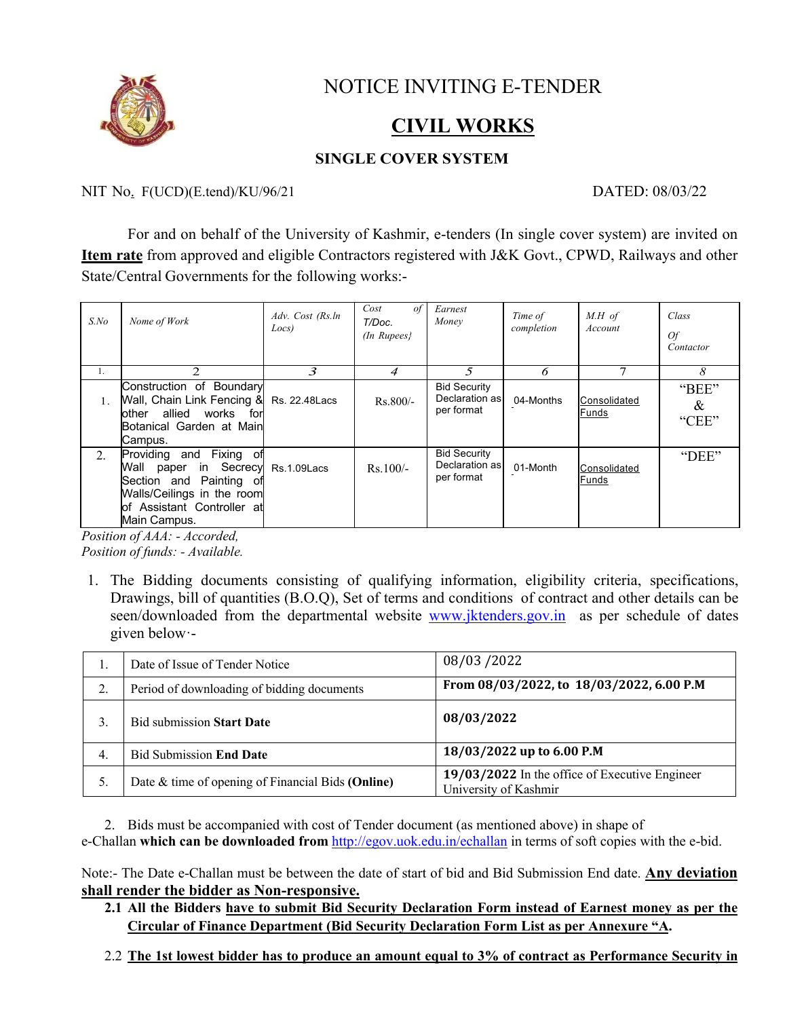

# NOTICE INVITING E-TENDER

# **CIVIL WORKS**

### **SINGLE COVER SYSTEM**

#### NIT No. F(UCD)(E.tend)/KU/96/21 DATED: 08/03/22

For and on behalf of the University of Kashmir, e-tenders (In single cover system) are invited on **Item rate** from approved and eligible Contractors registered with J&K Govt., CPWD, Railways and other State/Central Governments for the following works:-

| $S$ .No | Nome of Work                                                                                                                                                             | Adv. Cost (Rs.ln<br>Locs) | Cost<br>of<br>T/Doc.<br>$(In$ Rupees $)$ | Earnest<br>Money                                    | Time of<br>completion | $M.H$ of<br>Account   | Class<br><i>Of</i><br>Contactor |
|---------|--------------------------------------------------------------------------------------------------------------------------------------------------------------------------|---------------------------|------------------------------------------|-----------------------------------------------------|-----------------------|-----------------------|---------------------------------|
| 1.      | $\mathcal{P}$                                                                                                                                                            | 3                         | 4                                        | 5                                                   | 6                     |                       | 8                               |
| 1.      | Construction of Boundary<br>Wall, Chain Link Fencing &<br>allied works<br>other<br>for<br>Botanical Garden at Main<br>Campus.                                            | Rs. 22.48 Lacs            | $Rs.800/-$                               | <b>Bid Security</b><br>Declaration as<br>per format | 04-Months             | Consolidated<br>Funds | "BEE"<br>&<br>"CEE"             |
| 2.      | Fixing of<br>Providing and<br>Wall paper in Secrecy Rs.1.09 Lacs<br>Section and Painting of<br>Walls/Ceilings in the room<br>lof Assistant Controller at<br>Main Campus. |                           | $Rs.100/-$                               | <b>Bid Security</b><br>Declaration as<br>per format | 01-Month              | Consolidated<br>Funds | "DEE"                           |

*Position of AAA: - Accorded, Position of funds: - Available.*

1. The Bidding documents consisting of qualifying information, eligibility criteria, specifications, Drawings, bill of quantities (B.O.Q), Set of terms and conditions of contract and other details can be seen/downloaded from the departmental website www.jktenders.gov.in as per schedule of dates given below·-

| ., | Date of Issue of Tender Notice                    | 08/03/2022                                                              |  |  |  |
|----|---------------------------------------------------|-------------------------------------------------------------------------|--|--|--|
| 2. | Period of downloading of bidding documents        | From 08/03/2022, to 18/03/2022, 6.00 P.M                                |  |  |  |
|    | <b>Bid submission Start Date</b>                  | 08/03/2022                                                              |  |  |  |
| 4. | <b>Bid Submission End Date</b>                    | 18/03/2022 up to 6.00 P.M                                               |  |  |  |
| 5. | Date & time of opening of Financial Bids (Online) | 19/03/2022 In the office of Executive Engineer<br>University of Kashmir |  |  |  |

2. Bids must be accompanied with cost of Tender document (as mentioned above) in shape of e-Challan **which can be downloaded from** http://egov.uok.edu.in/echallan in terms of soft copies with the e-bid.

Note:- The Date e-Challan must be between the date of start of bid and Bid Submission End date. **Any deviation shall render the bidder as Non-responsive.**

- **2.1 All the Bidders have to submit Bid Security Declaration Form instead of Earnest money as per the Circular of Finance Department (Bid Security Declaration Form List as per Annexure "A.**
- 2.2 **The 1st lowest bidder has to produce an amount equal to 3% of contract as Performance Security in**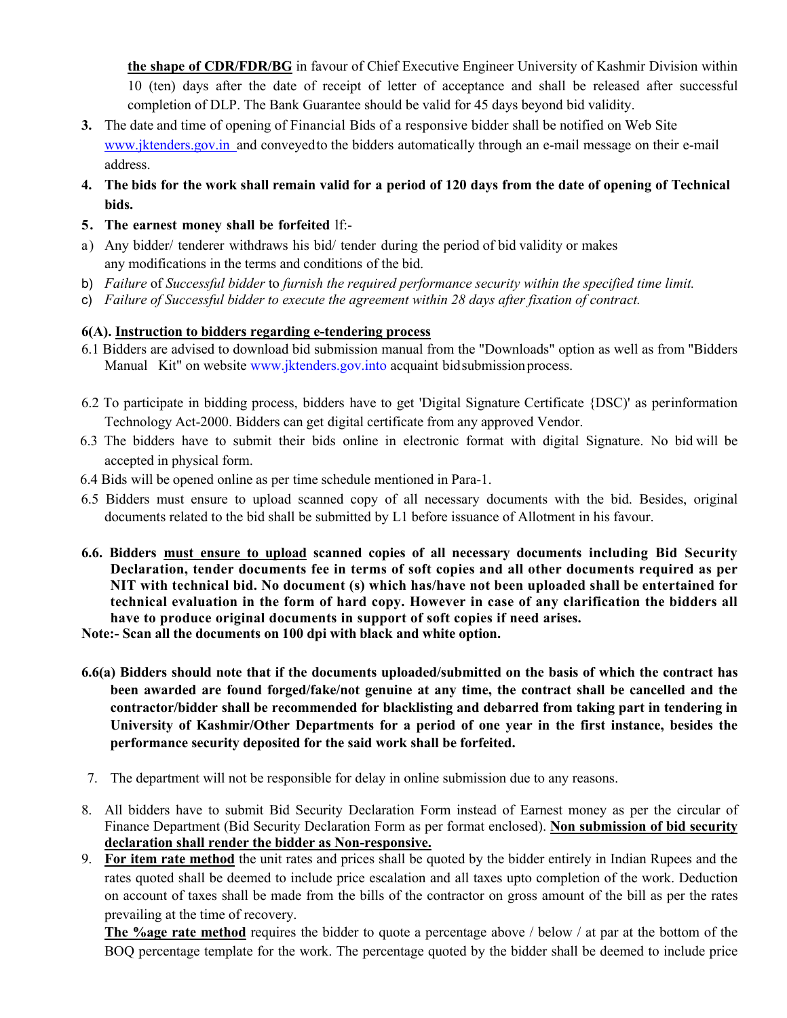**the shape of CDR/FDR/BG** in favour of Chief Executive Engineer University of Kashmir Division within 10 (ten) days after the date of receipt of letter of acceptance and shall be released after successful completion of DLP. The Bank Guarantee should be valid for 45 days beyond bid validity.

- **3.** The date and time of opening of Financial Bids of a responsive bidder shall be notified on Web Site www.jktenders.gov.in and conveyed to the bidders automatically through an e-mail message on their e-mail address.
- 4. The bids for the work shall remain valid for a period of 120 days from the date of opening of Technical **bids.**
- **5. The earnest money shall be forfeited** lf:-
- a) Any bidder/ tenderer withdraws his bid/ tender during the period of bid validity or makes any modifications in the terms and conditions of the bid.
- b) *Failure* of *Successful bidder* to *furnish the required performance security within the specified time limit.*
- c) *Failure of Successful bidder to execute the agreement within 28 days after fixation of contract.*

#### **6(A). Instruction to bidders regarding e-tendering process**

- 6.1 Bidders are advised to download bid submission manual from the "Downloads" option as well as from "Bidders Manual Kit" on website www.jktenders.gov.into acquaint bid submission process.
- 6.2 To participate in bidding process, bidders have to get 'Digital Signature Certificate {DSC)' as perinformation Technology Act-2000. Bidders can get digital certificate from any approved Vendor.
- 6.3 The bidders have to submit their bids online in electronic format with digital Signature. No bid will be accepted in physical form.
- 6.4 Bids will be opened online as per time schedule mentioned in Para-1.
- 6.5 Bidders must ensure to upload scanned copy of all necessary documents with the bid. Besides, original documents related to the bid shall be submitted by L1 before issuance of Allotment in his favour.
- **6.6. Bidders must ensure to upload scanned copies of all necessary documents including Bid Security Declaration, tender documents fee in terms of soft copies and all other documents required as per NIT with technical bid. No document (s) which has/have not been uploaded shall be entertained for technical evaluation in the form of hard copy. However in case of any clarification the bidders all have to produce original documents in support of soft copies if need arises.**
- **Note:- Scan all the documents on 100 dpi with black and white option.**
- **6.6(a) Bidders should note that if the documents uploaded/submitted on the basis of which the contract has been awarded are found forged/fake/not genuine at any time, the contract shall be cancelled and the contractor/bidder shall be recommended for blacklisting and debarred from taking part in tendering in University of Kashmir/Other Departments for a period of one year in the first instance, besides the performance security deposited for the said work shall be forfeited.**
- 7. The department will not be responsible for delay in online submission due to any reasons.
- 8. All bidders have to submit Bid Security Declaration Form instead of Earnest money as per the circular of Finance Department (Bid Security Declaration Form as per format enclosed). **Non submission of bid security declaration shall render the bidder as Non-responsive.**
- 9. **For item rate method** the unit rates and prices shall be quoted by the bidder entirely in Indian Rupees and the rates quoted shall be deemed to include price escalation and all taxes upto completion of the work. Deduction on account of taxes shall be made from the bills of the contractor on gross amount of the bill as per the rates prevailing at the time of recovery.

**The %age rate method** requires the bidder to quote a percentage above / below / at par at the bottom of the BOQ percentage template for the work. The percentage quoted by the bidder shall be deemed to include price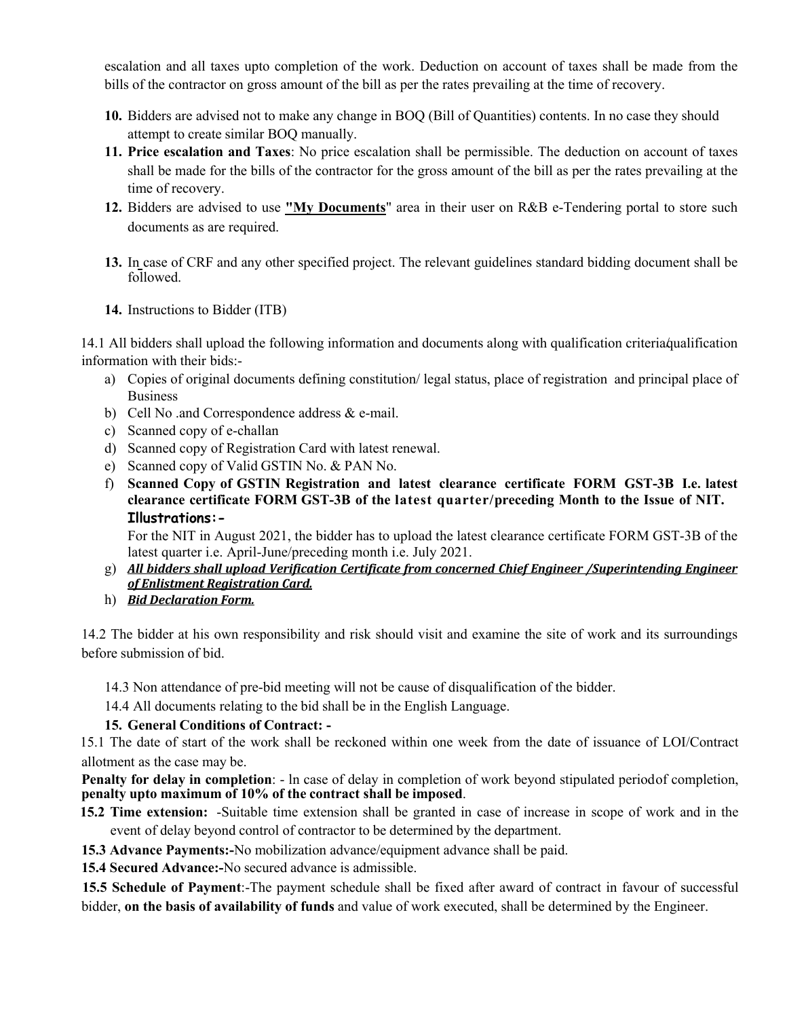escalation and all taxes upto completion of the work. Deduction on account of taxes shall be made from the bills of the contractor on gross amount of the bill as per the rates prevailing at the time of recovery.

- **10.** Bidders are advised not to make any change in BOQ (Bill of Quantities) contents. In no case they should attempt to create similar BOQ manually.
- **11. Price escalation and Taxes**: No price escalation shall be permissible. The deduction on account of taxes shall be made for the bills of the contractor for the gross amount of the bill as per the rates prevailing at the time of recovery.
- **12.** Bidders are advised to use **"My Documents**" area in their user on R&B e-Tendering portal to store such documents as are required.
- **13.** In case of CRF and any other specified project. The relevant guidelines standard bidding document shall be followed.
- **14.** Instructions to Bidder (ITB)

14.1 All bidders shall upload the following information and documents along with qualification criteria/qualification information with their bids:-

- a) Copies of original documents defining constitution/ legal status, place of registration and principal place of Business
- b) Cell No .and Correspondence address & e-mail.
- c) Scanned copy of e-challan
- d) Scanned copy of Registration Card with latest renewal.
- e) Scanned copy of Valid GSTIN No. & PAN No.
- f) **Scanned Copy of GSTIN Registration and latest clearance certificate FORM GST-3B I.e. latest clearance certificate FORM GST-3B of the latest quarter/preceding Month to the Issue of NIT. Illustrations:-**

For the NIT in August 2021, the bidder has to upload the latest clearance certificate FORM GST-3B of the latest quarter i.e. April-June/preceding month i.e. July 2021.

- g) *All bidders shall upload Verification Certificate from concerned Chief Engineer /Superintending Engineer of Enlistment Registration Card.*
- h) *Bid Declaration Form.*

14.2 The bidder at his own responsibility and risk should visit and examine the site of work and its surroundings before submission of bid.

14.3 Non attendance of pre-bid meeting will not be cause of disqualification of the bidder.

14.4 All documents relating to the bid shall be in the English Language.

#### **15. General Conditions of Contract: -**

15.1 The date of start of the work shall be reckoned within one week from the date of issuance of LOI/Contract allotment as the case may be.

**Penalty for delay in completion**: - ln case of delay in completion of work beyond stipulated periodof completion, **penalty upto maximum of 10% of the contract shall be imposed**.

- **15.2 Time extension:** -Suitable time extension shall be granted in case of increase in scope of work and in the event of delay beyond control of contractor to be determined by the department.
- **15.3 Advance Payments:-**No mobilization advance/equipment advance shall be paid.

**15.4 Secured Advance:-**No secured advance is admissible.

**15.5 Schedule of Payment**:-The payment schedule shall be fixed after award of contract in favour of successful bidder, **on the basis of availability of funds** and value of work executed, shall be determined by the Engineer.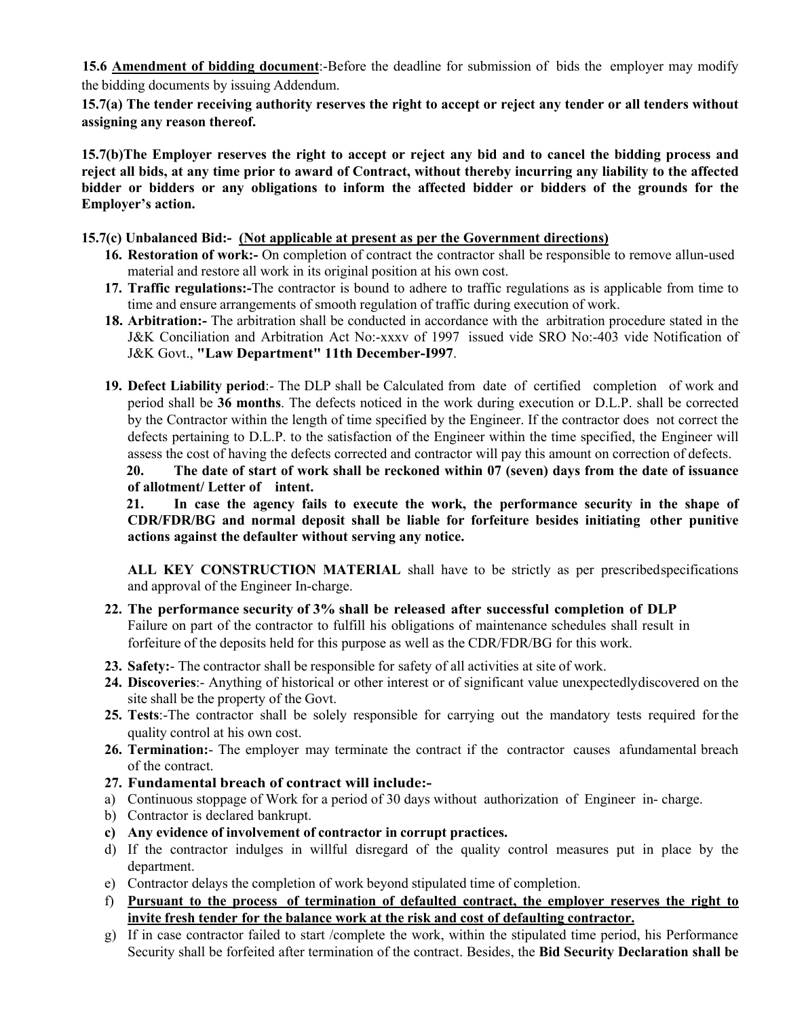**15.6 Amendment of bidding document**:-Before the deadline for submission of bids the employer may modify the bidding documents by issuing Addendum.

**15.7(a) The tender receiving authority reserves the right to accept or reject any tender or all tenders without assigning any reason thereof.**

**15.7(b)The Employer reserves the right to accept or reject any bid and to cancel the bidding process and reject all bids, at any time prior to award of Contract, without thereby incurring any liability to the affected bidder or bidders or any obligations to inform the affected bidder or bidders of the grounds for the Employer's action.**

#### **15.7(c) Unbalanced Bid:- (Not applicable at present as per the Government directions)**

- **16. Restoration of work:-** On completion of contract the contractor shall be responsible to remove allun-used material and restore all work in its original position at his own cost.
- **17. Traffic regulations:-**The contractor is bound to adhere to traffic regulations as is applicable from time to time and ensure arrangements of smooth regulation of traffic during execution of work.
- **18. Arbitration:-** The arbitration shall be conducted in accordance with the arbitration procedure stated in the J&K Conciliation and Arbitration Act No:-xxxv of 1997 issued vide SRO No:-403 vide Notification of J&K Govt., **"Law Department" 11th December-I997**.
- **19. Defect Liability period**:- The DLP shall be Calculated from date of certified completion of work and period shall be **36 months**. The defects noticed in the work during execution or D.L.P. shall be corrected by the Contractor within the length of time specified by the Engineer. If the contractor does not correct the defects pertaining to D.L.P. to the satisfaction of the Engineer within the time specified, the Engineer will assess the cost of having the defects corrected and contractor will pay this amount on correction of defects.

**20. The date of start of work shall be reckoned within 07 (seven) days from the date of issuance of allotment/ Letter of intent.** 

**21. In case the agency fails to execute the work, the performance security in the shape of CDR/FDR/BG and normal deposit shall be liable for forfeiture besides initiating other punitive actions against the defaulter without serving any notice.**

**ALL KEY CONSTRUCTION MATERIAL** shall have to be strictly as per prescribedspecifications and approval of the Engineer In-charge.

- **22. The performance security of 3% shall be released after successful completion of DLP** Failure on part of the contractor to fulfill his obligations of maintenance schedules shall result in forfeiture of the deposits held for this purpose as well as the CDR/FDR/BG for this work.
- **23. Safety:** The contractor shall be responsible for safety of all activities at site of work.
- **24. Discoveries**:- Anything of historical or other interest or of significant value unexpectedlydiscovered on the site shall be the property of the Govt.
- **25. Tests**:-The contractor shall be solely responsible for carrying out the mandatory tests required for the quality control at his own cost.
- 26. Termination:- The employer may terminate the contract if the contractor causes afundamental breach of the contract.
- **27. Fundamental breach of contract will include:-**
- a) Continuous stoppage of Work for a period of 30 days without authorization of Engineer in- charge.
- b) Contractor is declared bankrupt.
- **c) Any evidence of involvement of contractor in corrupt practices.**
- d) If the contractor indulges in willful disregard of the quality control measures put in place by the department.
- e) Contractor delays the completion of work beyond stipulated time of completion.
- f) **Pursuant to the process of termination of defaulted contract, the employer reserves the right to invite fresh tender for the balance work at the risk and cost of defaulting contractor.**
- g) If in case contractor failed to start /complete the work, within the stipulated time period, his Performance Security shall be forfeited after termination of the contract. Besides, the **Bid Security Declaration shall be**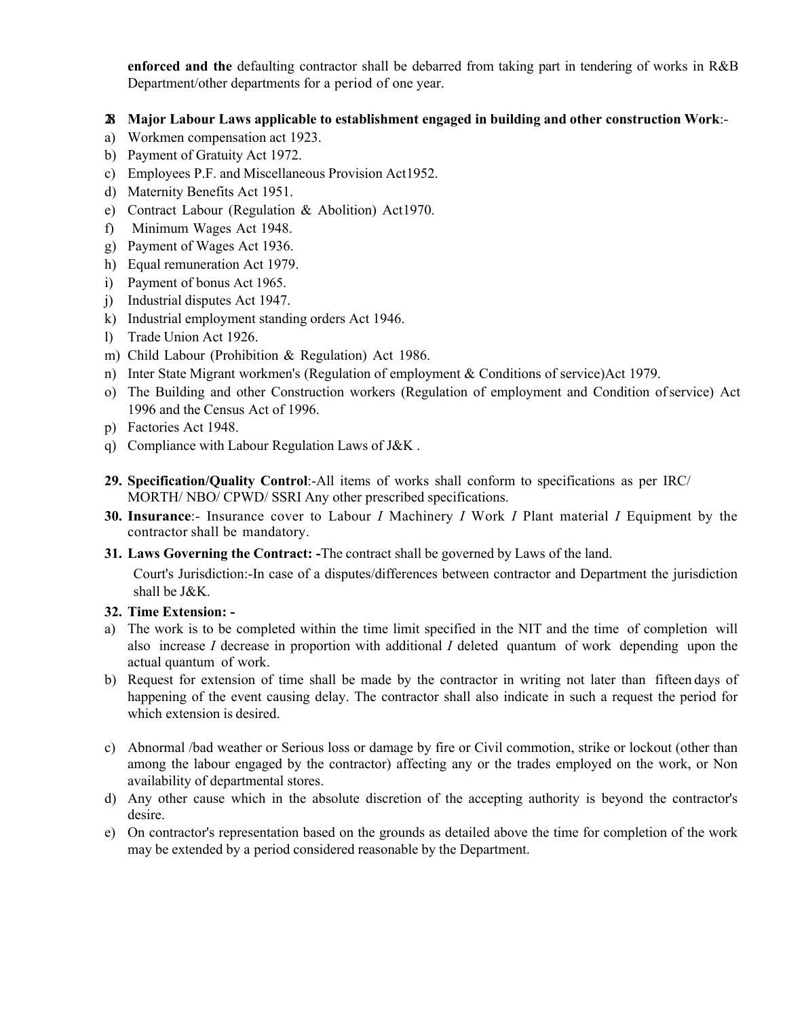**enforced and the** defaulting contractor shall be debarred from taking part in tendering of works in R&B Department/other departments for a period of one year.

#### **28. Major Labour Laws applicable to establishment engaged in building and other construction Work**:-

- a) Workmen compensation act 1923.
- b) Payment of Gratuity Act 1972.
- c) Employees P.F. and Miscellaneous Provision Act1952.
- d) Maternity Benefits Act 1951.
- e) Contract Labour (Regulation & Abolition) Act1970.
- f) Minimum Wages Act 1948.
- g) Payment of Wages Act 1936.
- h) Equal remuneration Act 1979.
- i) Payment of bonus Act 1965.
- j) Industrial disputes Act 1947.
- k) Industrial employment standing orders Act 1946.
- l) Trade Union Act 1926.
- m) Child Labour (Prohibition & Regulation) Act 1986.
- n) Inter State Migrant workmen's (Regulation of employment & Conditions of service)Act 1979.
- o) The Building and other Construction workers (Regulation of employment and Condition ofservice) Act 1996 and the Census Act of 1996.
- p) Factories Act 1948.
- q) Compliance with Labour Regulation Laws of J&K .
- **29. Specification/Quality Control**:-All items of works shall conform to specifications as per IRC/ MORTH/ NBO/ CPWD/ SSRI Any other prescribed specifications.
- **30. Insurance**:- Insurance cover to Labour *I* Machinery *I* Work *I* Plant material *I* Equipment by the contractor shall be mandatory.
- **31. Laws Governing the Contract: -**The contract shall be governed by Laws of the land.

Court's Jurisdiction:-In case of a disputes/differences between contractor and Department the jurisdiction

# shall be J&K. **32. Time Extension: -**

- a) The work is to be completed within the time limit specified in the NIT and the time of completion will also increase *I* decrease in proportion with additional *I* deleted quantum of work depending upon the actual quantum of work.
- b) Request for extension of time shall be made by the contractor in writing not later than fifteen days of happening of the event causing delay. The contractor shall also indicate in such a request the period for which extension is desired.
- c) Abnormal /bad weather or Serious loss or damage by fire or Civil commotion, strike or lockout (other than among the labour engaged by the contractor) affecting any or the trades employed on the work, or Non availability of departmental stores.
- d) Any other cause which in the absolute discretion of the accepting authority is beyond the contractor's desire.
- e) On contractor's representation based on the grounds as detailed above the time for completion of the work may be extended by a period considered reasonable by the Department.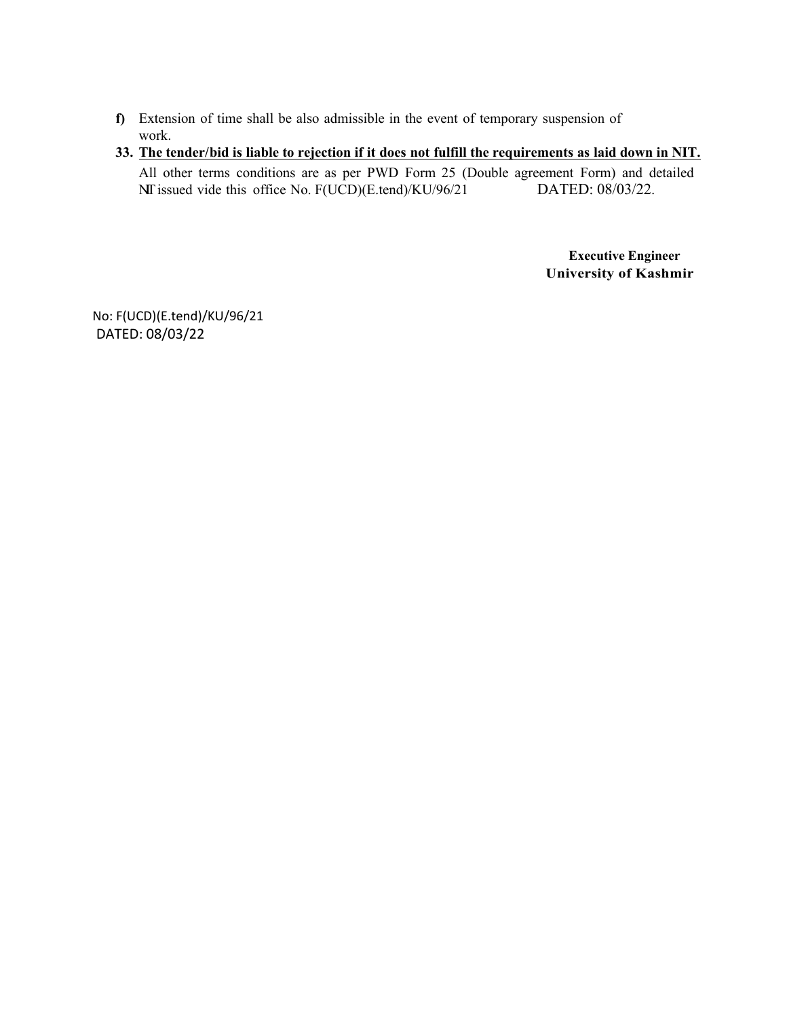**f)** Extension of time shall be also admissible in the event of temporary suspension of work.

#### **33. The tender/bid is liable to rejection if it does not fulfill the requirements as laid down in NIT.** All other terms conditions are as per PWD Form 25 (Double agreement Form) and detailed NIT issued vide this office No. F(UCD)(E.tend)/KU/96/21 DATED: 08/03/22.

**Executive Engineer University of Kashmir**

No: F(UCD)(E.tend)/KU/96/21 DATED: 08/03/22